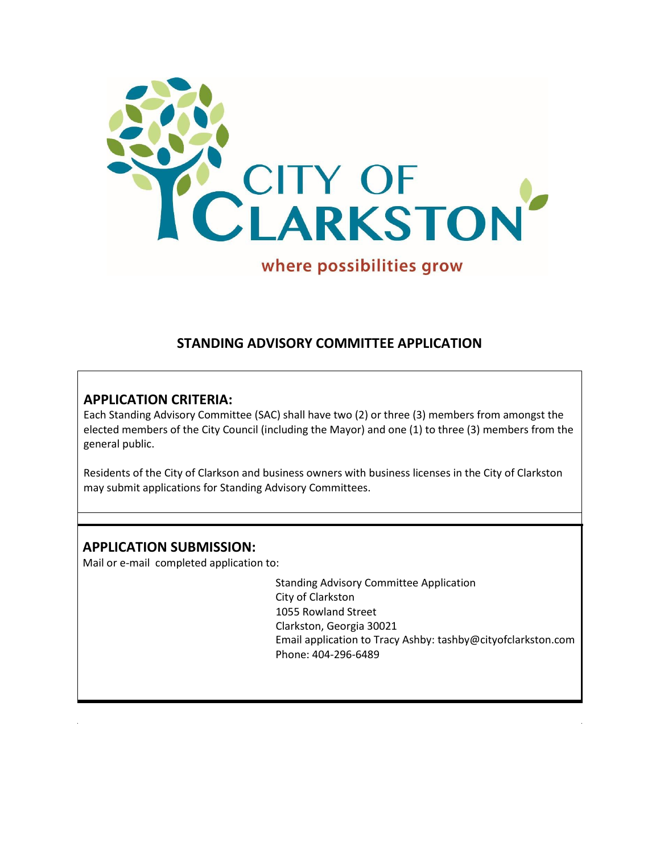

# **STANDING ADVISORY COMMITTEE APPLICATION**

# **APPLICATION CRITERIA:**

Each Standing Advisory Committee (SAC) shall have two (2) or three (3) members from amongst the elected members of the City Council (including the Mayor) and one (1) to three (3) members from the general public.

Residents of the City of Clarkson and business owners with business licenses in the City of Clarkston may submit applications for Standing Advisory Committees.

# **APPLICATION SUBMISSION:**

Mail or e-mail completed application to:

Standing Advisory Committee Application City of Clarkston 1055 Rowland Street Clarkston, Georgia 30021 Email application to Tracy Ashby: [tashby@cityofclarkston.com](mailto:tashby@cityofclarkston.com) Phone: 404-296-6489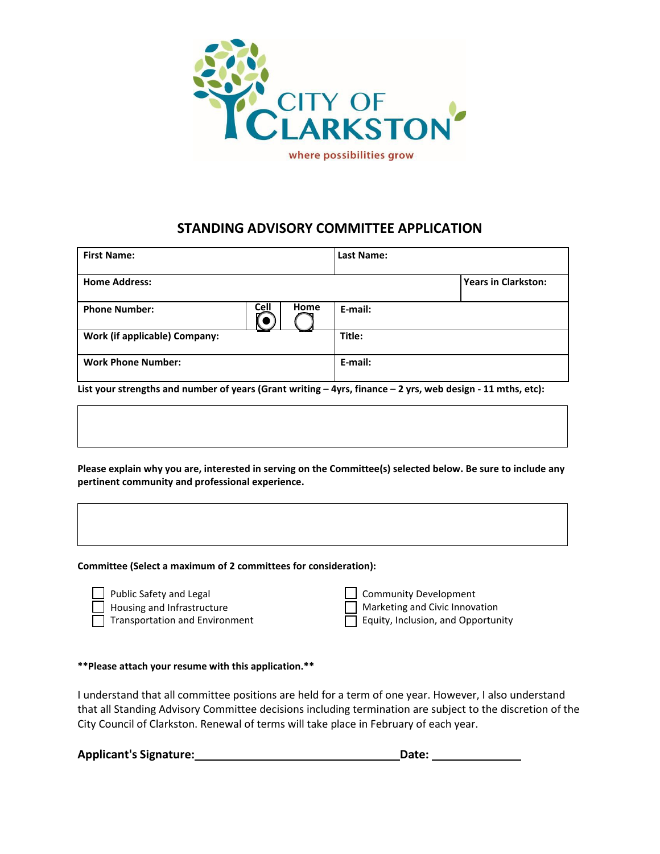

### **STANDING ADVISORY COMMITTEE APPLICATION**

| <b>First Name:</b>                   |             |      | <b>Last Name:</b> |                            |
|--------------------------------------|-------------|------|-------------------|----------------------------|
| <b>Home Address:</b>                 |             |      |                   | <b>Years in Clarkston:</b> |
| <b>Phone Number:</b>                 | <b>Cell</b> | Home | E-mail:           |                            |
| <b>Work (if applicable) Company:</b> |             |      | Title:            |                            |
| <b>Work Phone Number:</b>            |             |      | E-mail:           |                            |

**List your strengths and number of years (Grant writing – 4yrs, finance – 2 yrs, web design - 11 mths, etc):**

**Please explain why you are, interested in serving on the Committee(s) selected below. Be sure to include any pertinent community and professional experience.**

**Committee (Select a maximum of 2 committees for consideration):**

- Public Safety and Legal Housing and Infrastructure **Transportation and Environment**
- Community Development Marketing and Civic Innovation
- Equity, Inclusion, and Opportunity

#### **\*\*Please attach your resume with this application.\*\***

I understand that all committee positions are held for a term of one year. However, I also understand that all Standing Advisory Committee decisions including termination are subject to the discretion of the City Council of Clarkston. Renewal of terms will take place in February of each year.

**Applicant's Signature: Date:**

| Dat ( |  |
|-------|--|
|       |  |